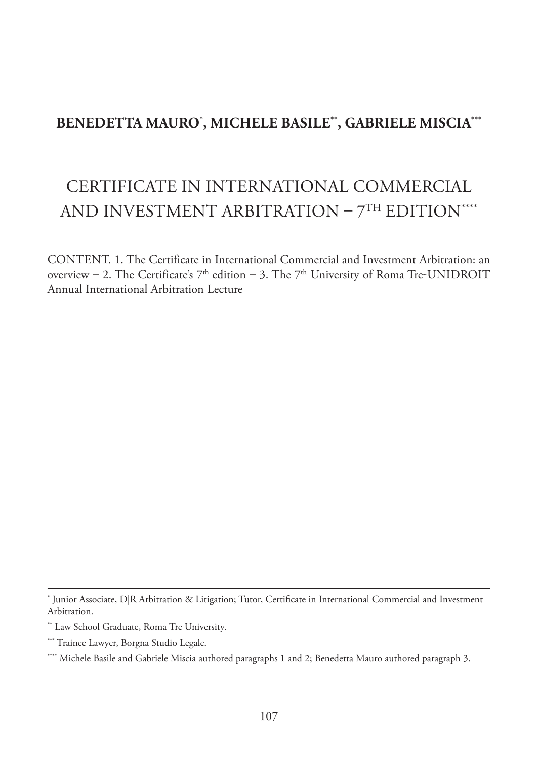# **BENEDETTA MAURO**\* **, MICHELE BASILE\*\*, GABRIELE MISCIA\*\*\***

# CERTIFICATE IN INTERNATIONAL COMMERCIAL AND INVESTMENT ARBITRATION –  $7<sup>TH</sup>$  EDITION<sup>\*\*\*\*</sup>

CONTENT. 1. The Certificate in International Commercial and Investment Arbitration: an overview – 2. The Certificate's  $7<sup>th</sup>$  edition – 3. The  $7<sup>th</sup>$  University of Roma Tre-UNIDROIT Annual International Arbitration Lecture

<sup>\*</sup> Junior Associate, D|R Arbitration & Litigation; Tutor, Certificate in International Commercial and Investment Arbitration.

<sup>\*\*</sup> Law School Graduate, Roma Tre University.

<sup>\*\*\*</sup> Trainee Lawyer, Borgna Studio Legale.

<sup>\*\*\*\*</sup> Michele Basile and Gabriele Miscia authored paragraphs 1 and 2; Benedetta Mauro authored paragraph 3.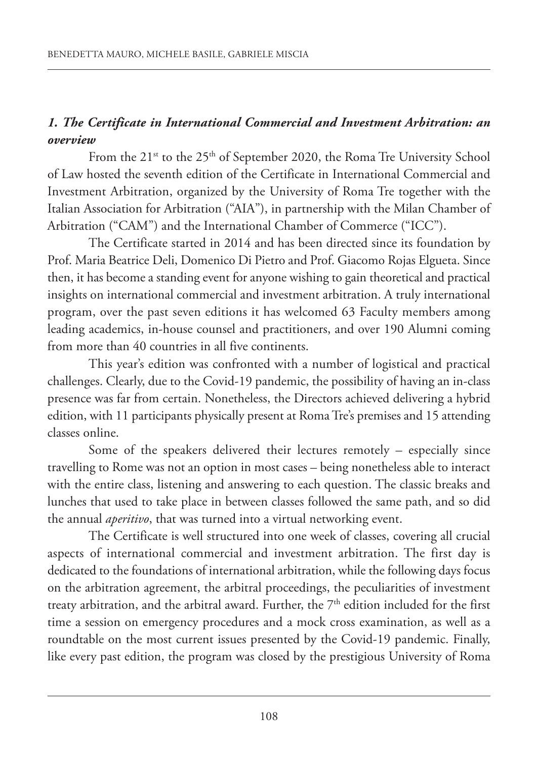## *1. The Certificate in International Commercial and Investment Arbitration: an overview*

From the 21<sup>st</sup> to the 25<sup>th</sup> of September 2020, the Roma Tre University School of Law hosted the seventh edition of the Certificate in International Commercial and Investment Arbitration, organized by the University of Roma Tre together with the Italian Association for Arbitration ("AIA"), in partnership with the Milan Chamber of Arbitration ("CAM") and the International Chamber of Commerce ("ICC").

The Certificate started in 2014 and has been directed since its foundation by Prof. Maria Beatrice Deli, Domenico Di Pietro and Prof. Giacomo Rojas Elgueta. Since then, it has become a standing event for anyone wishing to gain theoretical and practical insights on international commercial and investment arbitration. A truly international program, over the past seven editions it has welcomed 63 Faculty members among leading academics, in-house counsel and practitioners, and over 190 Alumni coming from more than 40 countries in all five continents.

This year's edition was confronted with a number of logistical and practical challenges. Clearly, due to the Covid-19 pandemic, the possibility of having an in-class presence was far from certain. Nonetheless, the Directors achieved delivering a hybrid edition, with 11 participants physically present at RomaTre's premises and 15 attending classes online.

Some of the speakers delivered their lectures remotely – especially since travelling to Rome was not an option in most cases – being nonetheless able to interact with the entire class, listening and answering to each question. The classic breaks and lunches that used to take place in between classes followed the same path, and so did the annual *aperitivo*, that was turned into a virtual networking event.

The Certificate is well structured into one week of classes, covering all crucial aspects of international commercial and investment arbitration. The first day is dedicated to the foundations of international arbitration, while the following days focus on the arbitration agreement, the arbitral proceedings, the peculiarities of investment treaty arbitration, and the arbitral award. Further, the 7<sup>th</sup> edition included for the first time a session on emergency procedures and a mock cross examination, as well as a roundtable on the most current issues presented by the Covid-19 pandemic. Finally, like every past edition, the program was closed by the prestigious University of Roma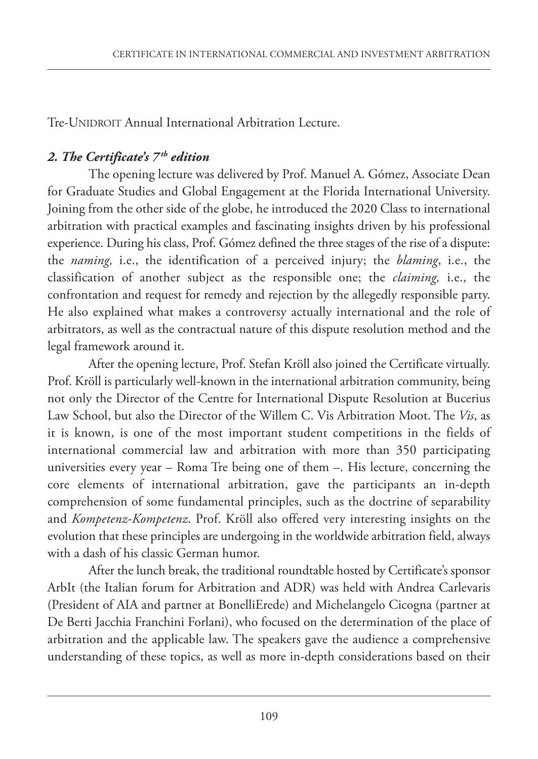Tre-UNIDROIT Annual International Arbitration Lecture.

#### *2. The Certificate's 7 th edition*

The opening lecture was delivered by Prof. Manuel A. Gómez, Associate Dean for Graduate Studies and Global Engagement at the Florida International University. Joining from the other side of the globe, he introduced the 2020 Class to international arbitration with practical examples and fascinating insights driven by his professional experience. During his class, Prof. Gómez defined the three stages of the rise of a dispute: the *naming,* i.e., the identification of a perceived injury; the *blaming*, i.e., the classification of another subject as the responsible one; the *claiming,* i.e., the confrontation and request for remedy and rejection by the allegedly responsible party. He also explained what makes a controversy actually international and the role of arbitrators, as well as the contractual nature of this dispute resolution method and the legal framework around it.

After the opening lecture, Prof. Stefan Kröll also joined the Certificate virtually. Prof. Kröll is particularly well-known in the international arbitration community, being not only the Director of the Centre for International Dispute Resolution at Bucerius Law School, but also the Director of the Willem C. Vis Arbitration Moot. The *Vis*, as it is known, is one of the most important student competitions in the fields of international commercial law and arbitration with more than 350 participating universities every year – Roma Tre being one of them –. His lecture, concerning the core elements of international arbitration, gave the participants an in-depth comprehension of some fundamental principles, such as the doctrine of separability and *Kompetenz-Kompetenz*. Prof. Kröll also offered very interesting insights on the evolution that these principles are undergoing in the worldwide arbitration field, always with a dash of his classic German humor.

After the lunch break, the traditional roundtable hosted by Certificate's sponsor ArbIt (the Italian forum for Arbitration and ADR) was held with Andrea Carlevaris (President of AIA and partner at BonelliErede) and Michelangelo Cicogna (partner at De Berti Jacchia Franchini Forlani), who focused on the determination of the place of arbitration and the applicable law. The speakers gave the audience a comprehensive understanding of these topics, as well as more in-depth considerations based on their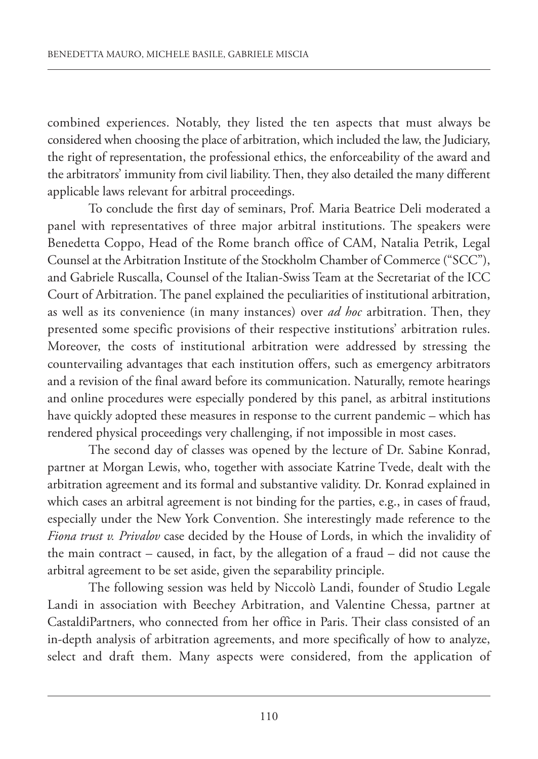combined experiences. Notably, they listed the ten aspects that must always be considered when choosing the place of arbitration, which included the law, the Judiciary, the right of representation, the professional ethics, the enforceability of the award and the arbitrators' immunity from civil liability.Then, they also detailed the many different applicable laws relevant for arbitral proceedings.

To conclude the first day of seminars, Prof. Maria Beatrice Deli moderated a panel with representatives of three major arbitral institutions. The speakers were Benedetta Coppo, Head of the Rome branch office of CAM, Natalia Petrik, Legal Counsel at the Arbitration Institute of the Stockholm Chamber of Commerce ("SCC"), and Gabriele Ruscalla, Counsel of the Italian-Swiss Team at the Secretariat of the ICC Court of Arbitration. The panel explained the peculiarities of institutional arbitration, as well as its convenience (in many instances) over *ad hoc* arbitration. Then, they presented some specific provisions of their respective institutions' arbitration rules. Moreover, the costs of institutional arbitration were addressed by stressing the countervailing advantages that each institution offers, such as emergency arbitrators and a revision of the final award before its communication. Naturally, remote hearings and online procedures were especially pondered by this panel, as arbitral institutions have quickly adopted these measures in response to the current pandemic – which has rendered physical proceedings very challenging, if not impossible in most cases.

The second day of classes was opened by the lecture of Dr. Sabine Konrad, partner at Morgan Lewis, who, together with associate Katrine Tvede, dealt with the arbitration agreement and its formal and substantive validity. Dr. Konrad explained in which cases an arbitral agreement is not binding for the parties, e.g., in cases of fraud, especially under the New York Convention. She interestingly made reference to the *Fiona trust v. Privalov* case decided by the House of Lords, in which the invalidity of the main contract – caused, in fact, by the allegation of a fraud – did not cause the arbitral agreement to be set aside, given the separability principle.

The following session was held by Niccolò Landi, founder of Studio Legale Landi in association with Beechey Arbitration, and Valentine Chessa, partner at CastaldiPartners, who connected from her office in Paris. Their class consisted of an in-depth analysis of arbitration agreements, and more specifically of how to analyze, select and draft them. Many aspects were considered, from the application of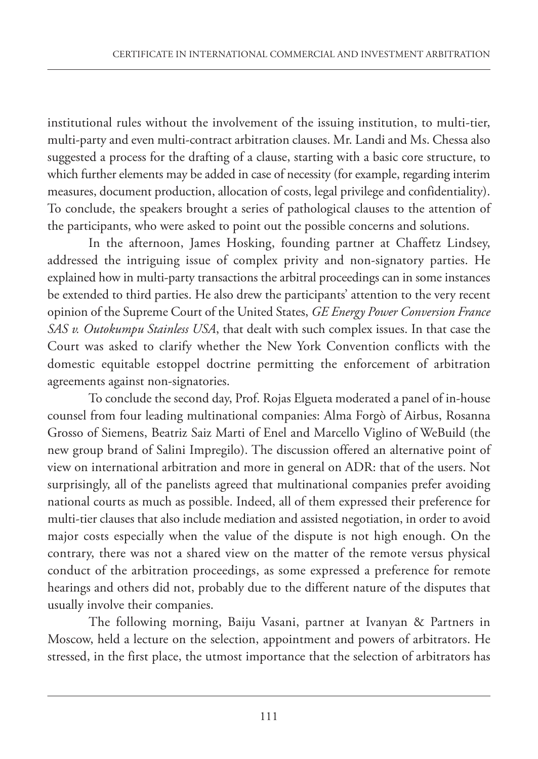institutional rules without the involvement of the issuing institution, to multi-tier, multi-party and even multi-contract arbitration clauses. Mr. Landi and Ms. Chessa also suggested a process for the drafting of a clause, starting with a basic core structure, to which further elements may be added in case of necessity (for example, regarding interim measures, document production, allocation of costs, legal privilege and confidentiality). To conclude, the speakers brought a series of pathological clauses to the attention of the participants, who were asked to point out the possible concerns and solutions.

In the afternoon, James Hosking, founding partner at Chaffetz Lindsey, addressed the intriguing issue of complex privity and non-signatory parties. He explained how in multi-party transactions the arbitral proceedings can in some instances be extended to third parties. He also drew the participants' attention to the very recent opinion of the Supreme Court of the United States, *GE Energy Power Conversion France SAS v. Outokumpu Stainless USA*, that dealt with such complex issues. In that case the Court was asked to clarify whether the New York Convention conflicts with the domestic equitable estoppel doctrine permitting the enforcement of arbitration agreements against non-signatories.

To conclude the second day, Prof. Rojas Elgueta moderated a panel of in-house counsel from four leading multinational companies: Alma Forgò of Airbus, Rosanna Grosso of Siemens, Beatriz Saiz Marti of Enel and Marcello Viglino of WeBuild (the new group brand of Salini Impregilo). The discussion offered an alternative point of view on international arbitration and more in general on ADR: that of the users. Not surprisingly, all of the panelists agreed that multinational companies prefer avoiding national courts as much as possible. Indeed, all of them expressed their preference for multi-tier clauses that also include mediation and assisted negotiation, in order to avoid major costs especially when the value of the dispute is not high enough. On the contrary, there was not a shared view on the matter of the remote versus physical conduct of the arbitration proceedings, as some expressed a preference for remote hearings and others did not, probably due to the different nature of the disputes that usually involve their companies.

The following morning, Baiju Vasani, partner at Ivanyan & Partners in Moscow, held a lecture on the selection, appointment and powers of arbitrators. He stressed, in the first place, the utmost importance that the selection of arbitrators has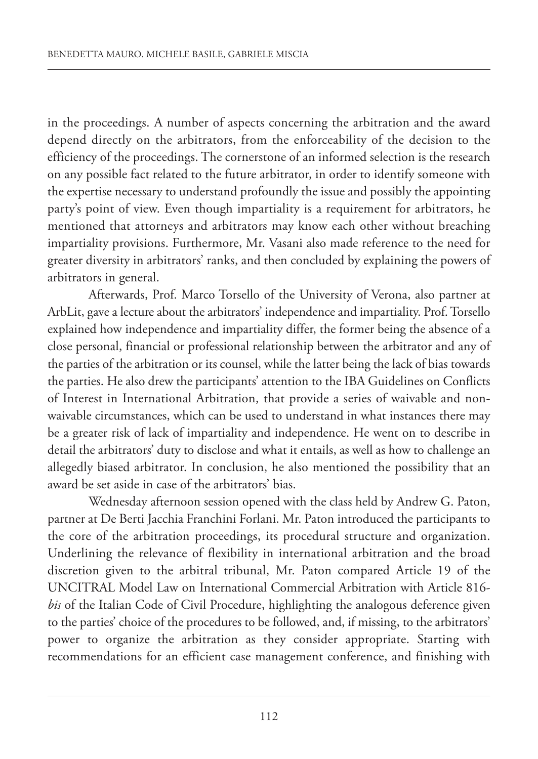in the proceedings. A number of aspects concerning the arbitration and the award depend directly on the arbitrators, from the enforceability of the decision to the efficiency of the proceedings. The cornerstone of an informed selection is the research on any possible fact related to the future arbitrator, in order to identify someone with the expertise necessary to understand profoundly the issue and possibly the appointing party's point of view. Even though impartiality is a requirement for arbitrators, he mentioned that attorneys and arbitrators may know each other without breaching impartiality provisions. Furthermore, Mr. Vasani also made reference to the need for greater diversity in arbitrators' ranks, and then concluded by explaining the powers of arbitrators in general.

Afterwards, Prof. Marco Torsello of the University of Verona, also partner at ArbLit, gave a lecture about the arbitrators' independence and impartiality. Prof.Torsello explained how independence and impartiality differ, the former being the absence of a close personal, financial or professional relationship between the arbitrator and any of the parties of the arbitration or its counsel, while the latter being the lack of bias towards the parties. He also drew the participants' attention to the IBA Guidelines on Conflicts of Interest in International Arbitration, that provide a series of waivable and nonwaivable circumstances, which can be used to understand in what instances there may be a greater risk of lack of impartiality and independence. He went on to describe in detail the arbitrators' duty to disclose and what it entails, as well as how to challenge an allegedly biased arbitrator. In conclusion, he also mentioned the possibility that an award be set aside in case of the arbitrators' bias.

Wednesday afternoon session opened with the class held by Andrew G. Paton, partner at De Berti Jacchia Franchini Forlani. Mr. Paton introduced the participants to the core of the arbitration proceedings, its procedural structure and organization. Underlining the relevance of flexibility in international arbitration and the broad discretion given to the arbitral tribunal, Mr. Paton compared Article 19 of the UNCITRAL Model Law on International Commercial Arbitration with Article 816 *bis* of the Italian Code of Civil Procedure, highlighting the analogous deference given to the parties' choice of the procedures to be followed, and, if missing, to the arbitrators' power to organize the arbitration as they consider appropriate. Starting with recommendations for an efficient case management conference, and finishing with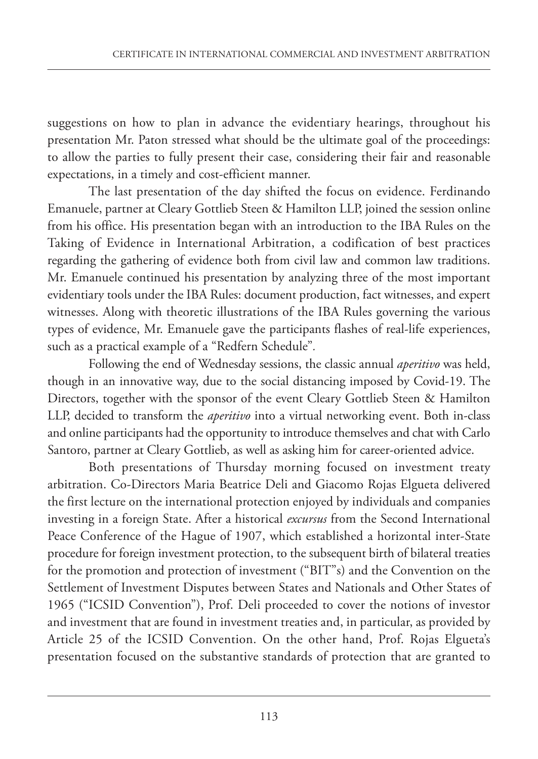suggestions on how to plan in advance the evidentiary hearings, throughout his presentation Mr. Paton stressed what should be the ultimate goal of the proceedings: to allow the parties to fully present their case, considering their fair and reasonable expectations, in a timely and cost-efficient manner.

The last presentation of the day shifted the focus on evidence. Ferdinando Emanuele, partner at Cleary Gottlieb Steen & Hamilton LLP, joined the session online from his office. His presentation began with an introduction to the IBA Rules on the Taking of Evidence in International Arbitration, a codification of best practices regarding the gathering of evidence both from civil law and common law traditions. Mr. Emanuele continued his presentation by analyzing three of the most important evidentiary tools under the IBA Rules: document production, fact witnesses, and expert witnesses. Along with theoretic illustrations of the IBA Rules governing the various types of evidence, Mr. Emanuele gave the participants flashes of real-life experiences, such as a practical example of a "Redfern Schedule"*.*

Following the end of Wednesday sessions, the classic annual *aperitivo* was held, though in an innovative way, due to the social distancing imposed by Covid-19. The Directors, together with the sponsor of the event Cleary Gottlieb Steen & Hamilton LLP, decided to transform the *aperitivo* into a virtual networking event. Both in-class and online participants had the opportunity to introduce themselves and chat with Carlo Santoro, partner at Cleary Gottlieb, as well as asking him for career-oriented advice.

Both presentations of Thursday morning focused on investment treaty arbitration. Co-Directors Maria Beatrice Deli and Giacomo Rojas Elgueta delivered the first lecture on the international protection enjoyed by individuals and companies investing in a foreign State. After a historical *excursus* from the Second International Peace Conference of the Hague of 1907, which established a horizontal inter-State procedure for foreign investment protection, to the subsequent birth of bilateral treaties for the promotion and protection of investment ("BIT"s) and the Convention on the Settlement of Investment Disputes between States and Nationals and Other States of 1965 ("ICSID Convention"), Prof. Deli proceeded to cover the notions of investor and investment that are found in investment treaties and, in particular, as provided by Article 25 of the ICSID Convention. On the other hand, Prof. Rojas Elgueta's presentation focused on the substantive standards of protection that are granted to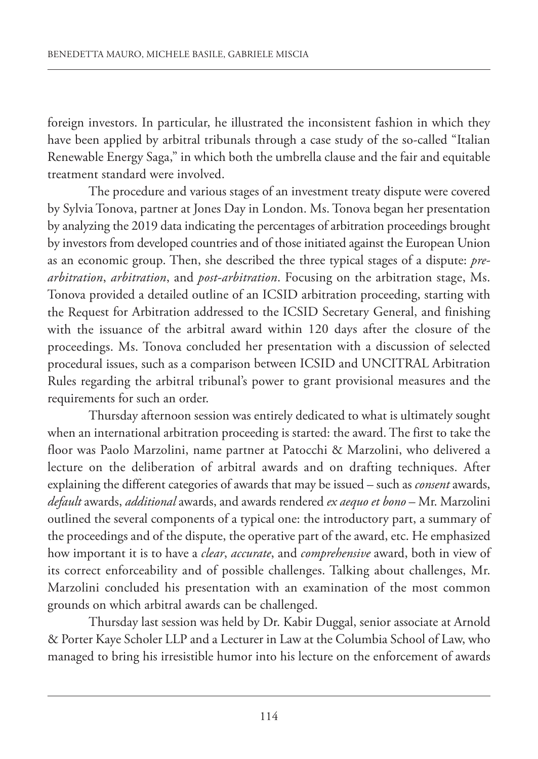foreign investors. In particular, he illustrated the inconsistent fashion in which they have been applied by arbitral tribunals through <sup>a</sup> case study of the so-called "Italian Renewable Energy Saga," in which both the umbrella clause and the fair and equitable treatment standard were involved.

The procedure and various stages of an investment treaty dispute were covered by Sylvia Tonova, partner at Jones Day in London. Ms. Tonova began her presentation by analyzing the 2019 data indicating the percentages of arbitration proceedings brought by investors from developed countries and of those initiated against the European Union as an economic group. Then, she described the three typical stages of <sup>a</sup> dispute: *prearbitration*, *arbitration*, and *post-arbitration*. Focusing on the arbitration stage, Ms. Tonova provided <sup>a</sup> detailed outline of an ICSID arbitration proceeding, starting with the Request for Arbitration addressed to the ICSID Secretary General, and finishing with the issuance of the arbitral award within <sup>120</sup> days after the closure of the proceedings. Ms. Tonova concluded her presentation with <sup>a</sup> discussion of selected procedural issues, such as <sup>a</sup> comparison between ICSID and UNCITRAL Arbitration Rules regarding the arbitral tribunal's power to grant provisional measures and the requirements for such an order.

Thursday afternoon session was entirely dedicated to what is ultimately sought when an international arbitration proceeding is started: the award. The first to take the floor was Paolo Marzolini, name partner at Patocchi & Marzolini, who delivered <sup>a</sup> lecture on the deliberation of arbitral awards and on drafting techniques. After explaining the different categories of awards that may be issued – such as *consent* awards, *default* awards, *additional* awards, and awards rendered *ex aequo et bono* – Mr. Marzolini outlined the several components of <sup>a</sup> typical one: the introductory part, <sup>a</sup> summary of the proceedings and of the dispute, the operative part of the award, etc. He emphasized how important it is to have <sup>a</sup> *clear*, *accurate*, and *comprehensive* award, both in view of its correct enforceability and of possible challenges. Talking about challenges, Mr. Marzolini concluded his presentation with an examination of the most common grounds on which arbitral awards can be challenged.

Thursday last session was held by Dr. Kabir Duggal, senior associate at Arnold & Porter Kaye Scholer LLP and <sup>a</sup> Lecturer in Law at the Columbia School of Law, who managed to bring his irresistible humor into his lecture on the enforcement of awards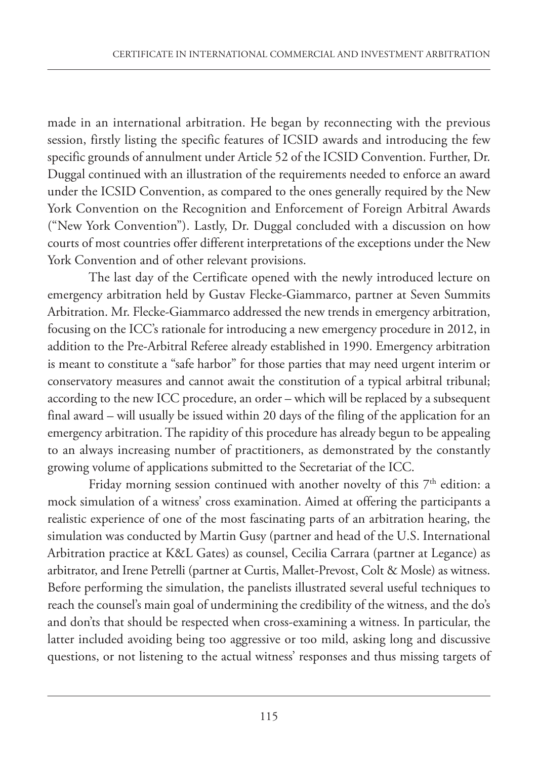made in an international arbitration. He began by reconnecting with the previous session, firstly listing the specific features of ICSID awards and introducing the few specific grounds of annulment under Article 52 of the ICSID Convention. Further, Dr. Duggal continued with an illustration of the requirements needed to enforce an award under the ICSID Convention, as compared to the ones generally required by the New York Convention on the Recognition and Enforcement of Foreign Arbitral Awards ("New York Convention"). Lastly, Dr. Duggal concluded with a discussion on how courts of most countries offer different interpretations of the exceptions under the New York Convention and of other relevant provisions.

The last day of the Certificate opened with the newly introduced lecture on emergency arbitration held by Gustav Flecke-Giammarco, partner at Seven Summits Arbitration. Mr. Flecke-Giammarco addressed the new trends in emergency arbitration, focusing on the ICC's rationale for introducing a new emergency procedure in 2012, in addition to the Pre-Arbitral Referee already established in 1990. Emergency arbitration is meant to constitute a "safe harbor" for those parties that may need urgent interim or conservatory measures and cannot await the constitution of a typical arbitral tribunal; according to the new ICC procedure, an order – which will be replaced by a subsequent final award – will usually be issued within 20 days of the filing of the application for an emergency arbitration. The rapidity of this procedure has already begun to be appealing to an always increasing number of practitioners, as demonstrated by the constantly growing volume of applications submitted to the Secretariat of the ICC.

Friday morning session continued with another novelty of this  $7<sup>th</sup>$  edition: a mock simulation of a witness' cross examination. Aimed at offering the participants a realistic experience of one of the most fascinating parts of an arbitration hearing, the simulation was conducted by Martin Gusy (partner and head of the U.S. International Arbitration practice at K&L Gates) as counsel, Cecilia Carrara (partner at Legance) as arbitrator, and Irene Petrelli (partner at Curtis, Mallet-Prevost, Colt & Mosle) as witness. Before performing the simulation, the panelists illustrated several useful techniques to reach the counsel's main goal of undermining the credibility of the witness, and the do's and don'ts that should be respected when cross-examining a witness. In particular, the latter included avoiding being too aggressive or too mild, asking long and discussive questions, or not listening to the actual witness' responses and thus missing targets of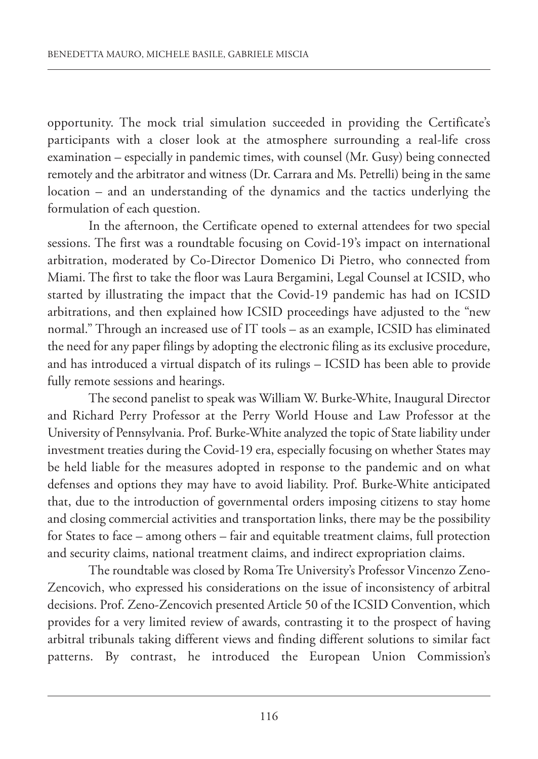opportunity. The mock trial simulation succeeded in providing the Certificate's participants with a closer look at the atmosphere surrounding a real-life cross examination – especially in pandemic times, with counsel (Mr. Gusy) being connected remotely and the arbitrator and witness (Dr. Carrara and Ms. Petrelli) being in the same location – and an understanding of the dynamics and the tactics underlying the formulation of each question.

In the afternoon, the Certificate opened to external attendees for two special sessions. The first was a roundtable focusing on Covid-19's impact on international arbitration, moderated by Co-Director Domenico Di Pietro, who connected from Miami. The first to take the floor was Laura Bergamini, Legal Counsel at ICSID, who started by illustrating the impact that the Covid-19 pandemic has had on ICSID arbitrations, and then explained how ICSID proceedings have adjusted to the "new normal." Through an increased use of IT tools – as an example, ICSID has eliminated the need for any paper filings by adopting the electronic filing as its exclusive procedure, and has introduced a virtual dispatch of its rulings – ICSID has been able to provide fully remote sessions and hearings.

The second panelist to speak was William W. Burke-White, Inaugural Director and Richard Perry Professor at the Perry World House and Law Professor at the University of Pennsylvania. Prof. Burke-White analyzed the topic of State liability under investment treaties during the Covid-19 era, especially focusing on whether States may be held liable for the measures adopted in response to the pandemic and on what defenses and options they may have to avoid liability. Prof. Burke-White anticipated that, due to the introduction of governmental orders imposing citizens to stay home and closing commercial activities and transportation links, there may be the possibility for States to face – among others – fair and equitable treatment claims, full protection and security claims, national treatment claims, and indirect expropriation claims.

The roundtable was closed by Roma Tre University's Professor Vincenzo Zenozencovich, who expressed his considerations on the issue of inconsistency of arbitral decisions. Prof. zeno-zencovich presented Article 50 of the ICSID Convention, which provides for a very limited review of awards, contrasting it to the prospect of having arbitral tribunals taking different views and finding different solutions to similar fact patterns. By contrast, he introduced the European Union Commission's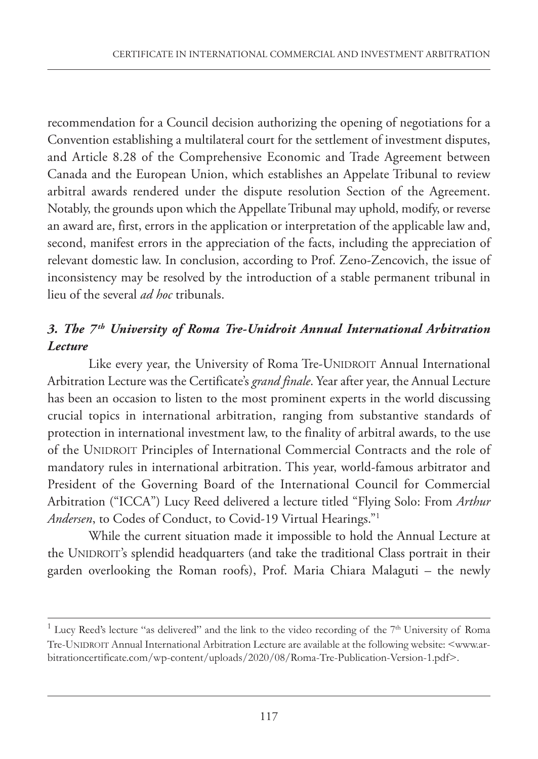recommendation for a Council decision authorizing the opening of negotiations for a Convention establishing a multilateral court for the settlement of investment disputes, and Article 8.28 of the Comprehensive Economic and Trade Agreement between Canada and the European Union, which establishes an Appelate Tribunal to review arbitral awards rendered under the dispute resolution Section of the Agreement. Notably, the grounds upon which the Appellate Tribunal may uphold, modify, or reverse an award are, first, errors in the application or interpretation of the applicable law and, second, manifest errors in the appreciation of the facts, including the appreciation of relevant domestic law. In conclusion, according to Prof. zeno-zencovich, the issue of inconsistency may be resolved by the introduction of a stable permanent tribunal in lieu of the several *ad hoc* tribunals.

### *3. The 7th University of Roma Tre-Unidroit Annual International Arbitration Lecture*

Like every year, the University of Roma Tre-UNIDROIT Annual International Arbitration Lecture was the Certificate's *grand finale*. Year after year, the Annual Lecture has been an occasion to listen to the most prominent experts in the world discussing crucial topics in international arbitration, ranging from substantive standards of protection in international investment law, to the finality of arbitral awards, to the use of the UNIDROIT Principles of International Commercial Contracts and the role of mandatory rules in international arbitration. This year, world-famous arbitrator and President of the Governing Board of the International Council for Commercial Arbitration ("ICCA") Lucy Reed delivered a lecture titled "Flying Solo: From *Arthur Andersen*, to Codes of Conduct, to Covid-19 Virtual Hearings."1

While the current situation made it impossible to hold the Annual Lecture at the UNIDROIT's splendid headquarters (and take the traditional Class portrait in their garden overlooking the Roman roofs), Prof. Maria Chiara Malaguti – the newly

<sup>&</sup>lt;sup>1</sup> Lucy Reed's lecture "as delivered" and the link to the video recording of the  $7<sup>th</sup>$  University of Roma Tre-UNIDROIT Annual International Arbitration Lecture are available at the following website: <www.arbitrationcertificate.com/wp-content/uploads/2020/08/Roma-Tre-Publication-Version-1.pdf>.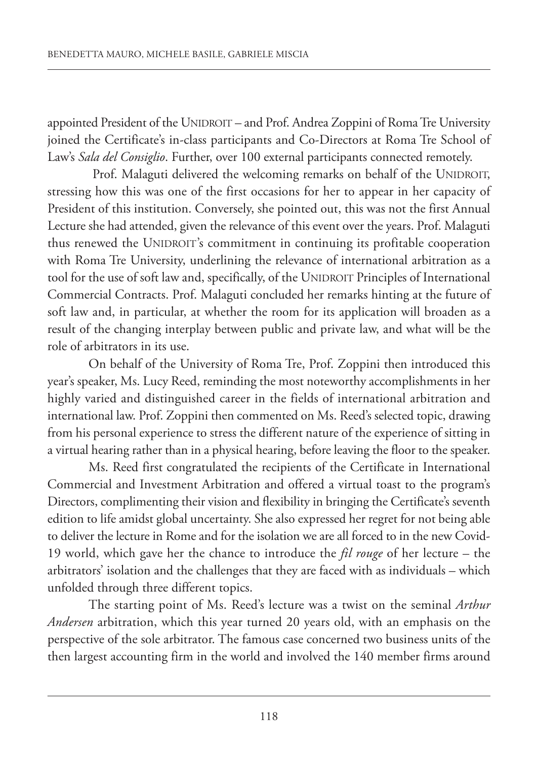appointed President of the UNIDROIT – and Prof. Andrea zoppini of RomaTre University joined the Certificate's in-class participants and Co-Directors at Roma Tre School of Law's *Sala del Consiglio*. Further, over 100 external participants connected remotely.

Prof. Malaguti delivered the welcoming remarks on behalf of the UNIDROIT, stressing how this was one of the first occasions for her to appear in her capacity of President of this institution. Conversely, she pointed out, this was not the first Annual Lecture she had attended, given the relevance of this event over the years. Prof. Malaguti thus renewed the UNIDROIT's commitment in continuing its profitable cooperation with Roma Tre University, underlining the relevance of international arbitration as a tool for the use of soft law and, specifically, of the UNIDROIT Principles of International Commercial Contracts. Prof. Malaguti concluded her remarks hinting at the future of soft law and, in particular, at whether the room for its application will broaden as a result of the changing interplay between public and private law, and what will be the role of arbitrators in its use.

On behalf of the University of Roma Tre, Prof. zoppini then introduced this year's speaker, Ms. Lucy Reed, reminding the most noteworthy accomplishments in her highly varied and distinguished career in the fields of international arbitration and international law. Prof. zoppini then commented on Ms. Reed's selected topic, drawing from his personal experience to stress the different nature of the experience of sitting in a virtual hearing rather than in a physical hearing, before leaving the floor to the speaker.

Ms. Reed first congratulated the recipients of the Certificate in International Commercial and Investment Arbitration and offered a virtual toast to the program's Directors, complimenting their vision and flexibility in bringing the Certificate's seventh edition to life amidst global uncertainty. She also expressed her regret for not being able to deliver the lecture in Rome and for the isolation we are all forced to in the new Covid-19 world, which gave her the chance to introduce the *fil rouge* of her lecture – the arbitrators' isolation and the challenges that they are faced with as individuals – which unfolded through three different topics.

The starting point of Ms. Reed's lecture was a twist on the seminal *Arthur Andersen* arbitration, which this year turned 20 years old, with an emphasis on the perspective of the sole arbitrator. The famous case concerned two business units of the then largest accounting firm in the world and involved the 140 member firms around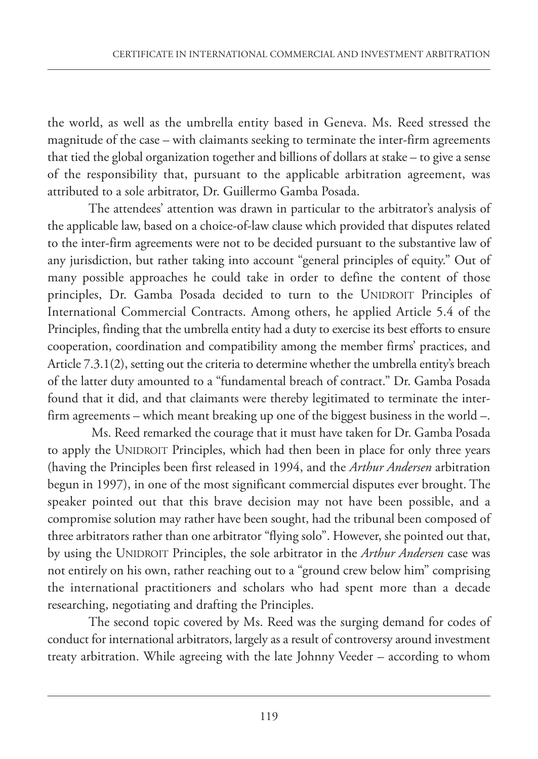the world, as well as the umbrella entity based in Geneva. Ms. Reed stressed the magnitude of the case – with claimants seeking to terminate the inter-firm agreements that tied the global organization together and billions of dollars at stake – to give a sense of the responsibility that, pursuant to the applicable arbitration agreement, was attributed to a sole arbitrator, Dr. Guillermo Gamba Posada.

The attendees' attention was drawn in particular to the arbitrator's analysis of the applicable law, based on a choice-of-law clause which provided that disputes related to the inter-firm agreements were not to be decided pursuant to the substantive law of any jurisdiction, but rather taking into account "general principles of equity." Out of many possible approaches he could take in order to define the content of those principles, Dr. Gamba Posada decided to turn to the UNIDROIT Principles of International Commercial Contracts. Among others, he applied Article 5.4 of the Principles, finding that the umbrella entity had a duty to exercise its best efforts to ensure cooperation, coordination and compatibility among the member firms' practices, and Article 7.3.1(2), setting out the criteria to determine whether the umbrella entity's breach of the latter duty amounted to a "fundamental breach of contract." Dr. Gamba Posada found that it did, and that claimants were thereby legitimated to terminate the interfirm agreements – which meant breaking up one of the biggest business in the world –.

Ms. Reed remarked the courage that it must have taken for Dr. Gamba Posada to apply the UNIDROIT Principles, which had then been in place for only three years (having the Principles been first released in 1994, and the *Arthur Andersen* arbitration begun in 1997), in one of the most significant commercial disputes ever brought. The speaker pointed out that this brave decision may not have been possible, and a compromise solution may rather have been sought, had the tribunal been composed of three arbitrators rather than one arbitrator "flying solo". However, she pointed out that, by using the UNIDROIT Principles, the sole arbitrator in the *Arthur Andersen* case was not entirely on his own, rather reaching out to a "ground crew below him" comprising the international practitioners and scholars who had spent more than a decade researching, negotiating and drafting the Principles.

The second topic covered by Ms. Reed was the surging demand for codes of conduct for international arbitrators, largely as a result of controversy around investment treaty arbitration. While agreeing with the late Johnny Veeder – according to whom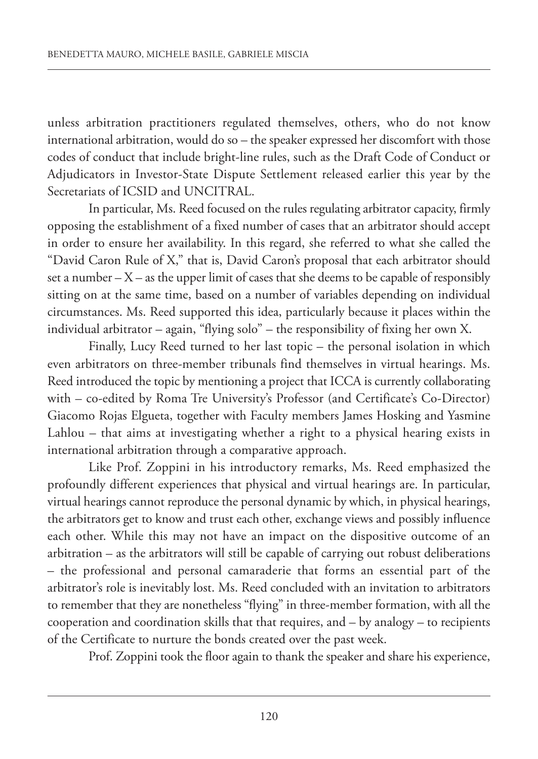unless arbitration practitioners regulated themselves, others, who do not know international arbitration, would do so – the speaker expressed her discomfort with those codes of conduct that include bright-line rules, such as the Draft Code of Conduct or Adjudicators in Investor-State Dispute Settlement released earlier this year by the Secretariats of ICSID and UNCITRAL.

In particular, Ms. Reed focused on the rules regulating arbitrator capacity, firmly opposing the establishment of a fixed number of cases that an arbitrator should accept in order to ensure her availability. In this regard, she referred to what she called the "David Caron Rule of X," that is, David Caron's proposal that each arbitrator should set a number  $-X$  – as the upper limit of cases that she deems to be capable of responsibly sitting on at the same time, based on a number of variables depending on individual circumstances. Ms. Reed supported this idea, particularly because it places within the individual arbitrator – again, "flying solo" – the responsibility of fixing her own X.

Finally, Lucy Reed turned to her last topic – the personal isolation in which even arbitrators on three-member tribunals find themselves in virtual hearings. Ms. Reed introduced the topic by mentioning a project that ICCA is currently collaborating with – co-edited by Roma Tre University's Professor (and Certificate's Co-Director) Giacomo Rojas Elgueta, together with Faculty members James Hosking and Yasmine Lahlou – that aims at investigating whether a right to a physical hearing exists in international arbitration through a comparative approach.

Like Prof. zoppini in his introductory remarks, Ms. Reed emphasized the profoundly different experiences that physical and virtual hearings are. In particular, virtual hearings cannot reproduce the personal dynamic by which, in physical hearings, the arbitrators get to know and trust each other, exchange views and possibly influence each other. While this may not have an impact on the dispositive outcome of an arbitration – as the arbitrators will still be capable of carrying out robust deliberations – the professional and personal camaraderie that forms an essential part of the arbitrator's role is inevitably lost. Ms. Reed concluded with an invitation to arbitrators to remember that they are nonetheless "flying" in three-member formation, with all the cooperation and coordination skills that that requires, and – by analogy – to recipients of the Certificate to nurture the bonds created over the past week.

Prof. zoppini took the floor again to thank the speaker and share his experience,